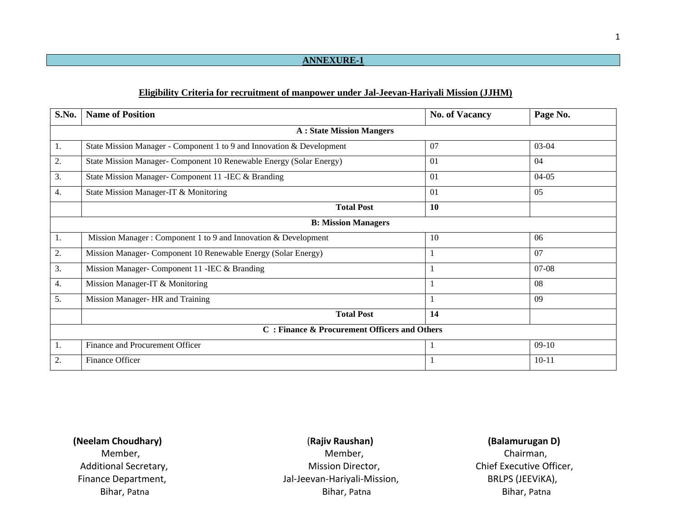### **ANNEXURE-1**

### **Eligibility Criteria for recruitment of manpower under Jal-Jeevan-Hariyali Mission (JJHM)**

| S.No.            | <b>Name of Position</b>                                               | <b>No. of Vacancy</b> | Page No.  |  |  |  |  |  |
|------------------|-----------------------------------------------------------------------|-----------------------|-----------|--|--|--|--|--|
|                  | <b>A: State Mission Mangers</b>                                       |                       |           |  |  |  |  |  |
| 1.               | State Mission Manager - Component 1 to 9 and Innovation & Development | 07                    | 03-04     |  |  |  |  |  |
| 2.               | State Mission Manager- Component 10 Renewable Energy (Solar Energy)   | 01                    | 04        |  |  |  |  |  |
| 3.               | State Mission Manager- Component 11 - IEC & Branding                  | 01                    | $04-05$   |  |  |  |  |  |
| 4.               | State Mission Manager-IT & Monitoring                                 | 01                    | 05        |  |  |  |  |  |
|                  | <b>Total Post</b>                                                     | 10                    |           |  |  |  |  |  |
|                  | <b>B: Mission Managers</b>                                            |                       |           |  |  |  |  |  |
| 1.               | Mission Manager: Component 1 to 9 and Innovation & Development        | 10                    | 06        |  |  |  |  |  |
| 2.               | Mission Manager- Component 10 Renewable Energy (Solar Energy)         | $\mathbf{1}$          | 07        |  |  |  |  |  |
| 3.               | Mission Manager- Component 11 - IEC & Branding                        | 1                     | $07-08$   |  |  |  |  |  |
| $\overline{4}$ . | Mission Manager-IT & Monitoring                                       | $\mathbf{1}$          | 08        |  |  |  |  |  |
| 5.               | Mission Manager- HR and Training                                      | $\mathbf{1}$          | 09        |  |  |  |  |  |
|                  | <b>Total Post</b>                                                     | 14                    |           |  |  |  |  |  |
|                  | C: Finance & Procurement Officers and Others                          |                       |           |  |  |  |  |  |
| Ι.               | Finance and Procurement Officer                                       | 1                     | $09-10$   |  |  |  |  |  |
| 2.               | Finance Officer                                                       | 1                     | $10 - 11$ |  |  |  |  |  |

 **(Neelam Choudhary)** (**Rajiv Raushan) (Balamurugan D)**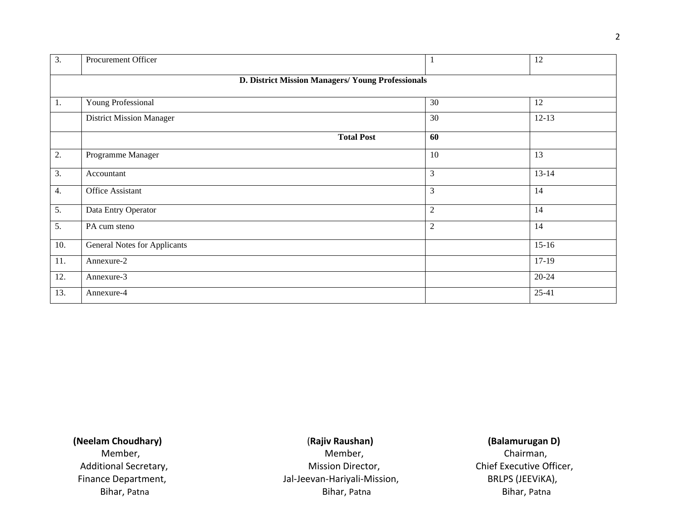| 3.               | Procurement Officer                               |                  | 12        |  |  |  |  |
|------------------|---------------------------------------------------|------------------|-----------|--|--|--|--|
|                  | D. District Mission Managers/ Young Professionals |                  |           |  |  |  |  |
| 1.               | Young Professional                                | 30               | 12        |  |  |  |  |
|                  | <b>District Mission Manager</b>                   | 30               | $12-13$   |  |  |  |  |
|                  | <b>Total Post</b>                                 | 60               |           |  |  |  |  |
| 2.               | Programme Manager                                 | 10               | 13        |  |  |  |  |
| 3.               | Accountant                                        | 3                | $13 - 14$ |  |  |  |  |
| $\overline{4}$ . | Office Assistant                                  | 3                | 14        |  |  |  |  |
| 5.               | Data Entry Operator                               | $\boldsymbol{2}$ | 14        |  |  |  |  |
| $\overline{5}$ . | PA cum steno                                      | $\overline{2}$   | 14        |  |  |  |  |
| 10.              | <b>General Notes for Applicants</b>               |                  | $15-16$   |  |  |  |  |
| 11.              | Annexure-2                                        |                  | $17-19$   |  |  |  |  |
| 12.              | Annexure-3                                        |                  | $20 - 24$ |  |  |  |  |
| 13.              | Annexure-4                                        |                  | $25 - 41$ |  |  |  |  |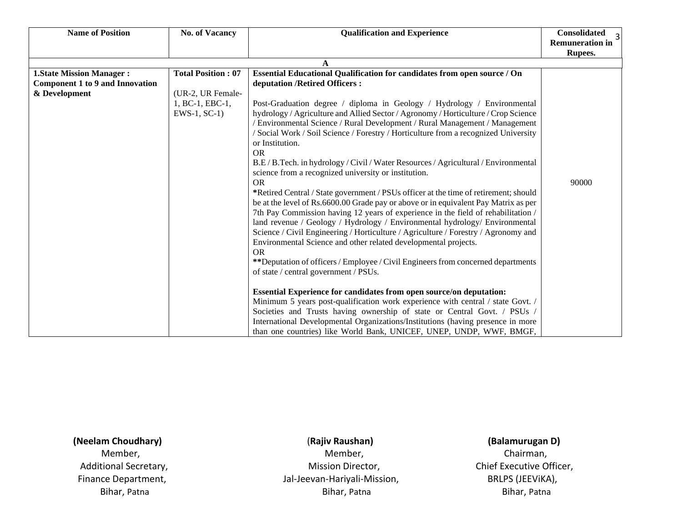| <b>Name of Position</b>                                            | <b>No. of Vacancy</b>                 | <b>Qualification and Experience</b>                                                                                                                                                                                                                                                                                                                                                                                                                                                                                                                                                                                                                                                                                                                                                                                                                                                                                                                                                                                                                                                                                                                                                                                                                                                                                                                                                                                         | <b>Consolidated</b><br>$\overline{3}$ |
|--------------------------------------------------------------------|---------------------------------------|-----------------------------------------------------------------------------------------------------------------------------------------------------------------------------------------------------------------------------------------------------------------------------------------------------------------------------------------------------------------------------------------------------------------------------------------------------------------------------------------------------------------------------------------------------------------------------------------------------------------------------------------------------------------------------------------------------------------------------------------------------------------------------------------------------------------------------------------------------------------------------------------------------------------------------------------------------------------------------------------------------------------------------------------------------------------------------------------------------------------------------------------------------------------------------------------------------------------------------------------------------------------------------------------------------------------------------------------------------------------------------------------------------------------------------|---------------------------------------|
|                                                                    |                                       |                                                                                                                                                                                                                                                                                                                                                                                                                                                                                                                                                                                                                                                                                                                                                                                                                                                                                                                                                                                                                                                                                                                                                                                                                                                                                                                                                                                                                             | <b>Remuneration in</b>                |
|                                                                    |                                       |                                                                                                                                                                                                                                                                                                                                                                                                                                                                                                                                                                                                                                                                                                                                                                                                                                                                                                                                                                                                                                                                                                                                                                                                                                                                                                                                                                                                                             | Rupees.                               |
|                                                                    |                                       | A                                                                                                                                                                                                                                                                                                                                                                                                                                                                                                                                                                                                                                                                                                                                                                                                                                                                                                                                                                                                                                                                                                                                                                                                                                                                                                                                                                                                                           |                                       |
| <b>1.State Mission Manager:</b><br>Component 1 to 9 and Innovation | <b>Total Position: 07</b>             | Essential Educational Qualification for candidates from open source / On<br>deputation / Retired Officers :                                                                                                                                                                                                                                                                                                                                                                                                                                                                                                                                                                                                                                                                                                                                                                                                                                                                                                                                                                                                                                                                                                                                                                                                                                                                                                                 |                                       |
| & Development                                                      | (UR-2, UR Female-                     |                                                                                                                                                                                                                                                                                                                                                                                                                                                                                                                                                                                                                                                                                                                                                                                                                                                                                                                                                                                                                                                                                                                                                                                                                                                                                                                                                                                                                             |                                       |
|                                                                    | 1, BC-1, EBC-1,<br>$EWS-1$ , $SC-1$ ) | Post-Graduation degree / diploma in Geology / Hydrology / Environmental<br>hydrology / Agriculture and Allied Sector / Agronomy / Horticulture / Crop Science<br>/ Environmental Science / Rural Development / Rural Management / Management<br>/ Social Work / Soil Science / Forestry / Horticulture from a recognized University<br>or Institution.<br><b>OR</b><br>B.E / B.Tech. in hydrology / Civil / Water Resources / Agricultural / Environmental<br>science from a recognized university or institution.<br><b>OR</b><br>*Retired Central / State government / PSUs officer at the time of retirement; should<br>be at the level of Rs.6600.00 Grade pay or above or in equivalent Pay Matrix as per<br>7th Pay Commission having 12 years of experience in the field of rehabilitation /<br>land revenue / Geology / Hydrology / Environmental hydrology/ Environmental<br>Science / Civil Engineering / Horticulture / Agriculture / Forestry / Agronomy and<br>Environmental Science and other related developmental projects.<br><b>OR</b><br>**Deputation of officers / Employee / Civil Engineers from concerned departments<br>of state / central government / PSUs.<br>Essential Experience for candidates from open source/on deputation:<br>Minimum 5 years post-qualification work experience with central / state Govt. /<br>Societies and Trusts having ownership of state or Central Govt. / PSUs / | 90000                                 |
|                                                                    |                                       | International Developmental Organizations/Institutions (having presence in more<br>than one countries) like World Bank, UNICEF, UNEP, UNDP, WWF, BMGF,                                                                                                                                                                                                                                                                                                                                                                                                                                                                                                                                                                                                                                                                                                                                                                                                                                                                                                                                                                                                                                                                                                                                                                                                                                                                      |                                       |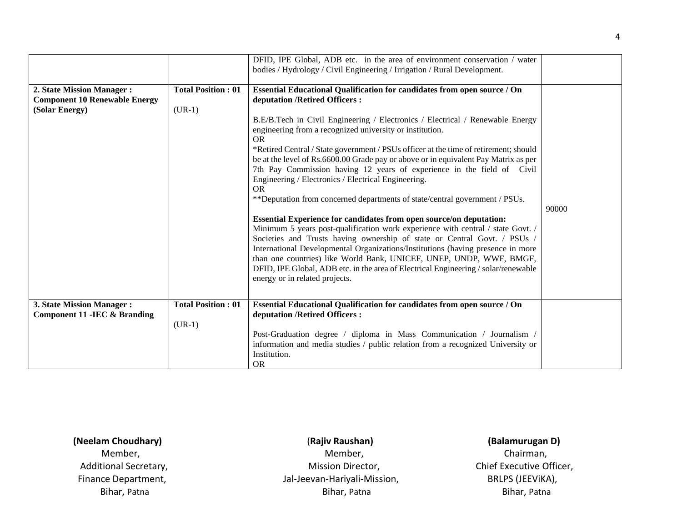|                                                                                      |                                       | DFID, IPE Global, ADB etc. in the area of environment conservation / water<br>bodies / Hydrology / Civil Engineering / Irrigation / Rural Development.                                                                                                                                                                                                                                                                                                                                                                                                                                                                                                                                                                                                                                                                                                                                                                                                                                                                                                                                                                                                                                                         |       |
|--------------------------------------------------------------------------------------|---------------------------------------|----------------------------------------------------------------------------------------------------------------------------------------------------------------------------------------------------------------------------------------------------------------------------------------------------------------------------------------------------------------------------------------------------------------------------------------------------------------------------------------------------------------------------------------------------------------------------------------------------------------------------------------------------------------------------------------------------------------------------------------------------------------------------------------------------------------------------------------------------------------------------------------------------------------------------------------------------------------------------------------------------------------------------------------------------------------------------------------------------------------------------------------------------------------------------------------------------------------|-------|
| 2. State Mission Manager :<br><b>Component 10 Renewable Energy</b><br>(Solar Energy) | <b>Total Position: 01</b><br>$(UR-1)$ | Essential Educational Qualification for candidates from open source / On<br>deputation / Retired Officers :<br>B.E/B.Tech in Civil Engineering / Electronics / Electrical / Renewable Energy<br>engineering from a recognized university or institution.<br><b>OR</b><br>*Retired Central / State government / PSUs officer at the time of retirement; should<br>be at the level of Rs.6600.00 Grade pay or above or in equivalent Pay Matrix as per<br>7th Pay Commission having 12 years of experience in the field of Civil<br>Engineering / Electronics / Electrical Engineering.<br><b>OR</b><br>**Deputation from concerned departments of state/central government / PSUs.<br><b>Essential Experience for candidates from open source/on deputation:</b><br>Minimum 5 years post-qualification work experience with central / state Govt. /<br>Societies and Trusts having ownership of state or Central Govt. / PSUs<br>International Developmental Organizations/Institutions (having presence in more<br>than one countries) like World Bank, UNICEF, UNEP, UNDP, WWF, BMGF,<br>DFID, IPE Global, ADB etc. in the area of Electrical Engineering / solar/renewable<br>energy or in related projects. | 90000 |
|                                                                                      |                                       |                                                                                                                                                                                                                                                                                                                                                                                                                                                                                                                                                                                                                                                                                                                                                                                                                                                                                                                                                                                                                                                                                                                                                                                                                |       |
| 3. State Mission Manager :<br><b>Component 11 - IEC &amp; Branding</b>               | <b>Total Position: 01</b><br>$(UR-1)$ | Essential Educational Qualification for candidates from open source / On<br>deputation / Retired Officers :<br>Post-Graduation degree / diploma in Mass Communication / Journalism /<br>information and media studies / public relation from a recognized University or                                                                                                                                                                                                                                                                                                                                                                                                                                                                                                                                                                                                                                                                                                                                                                                                                                                                                                                                        |       |
|                                                                                      |                                       | Institution.<br><b>OR</b>                                                                                                                                                                                                                                                                                                                                                                                                                                                                                                                                                                                                                                                                                                                                                                                                                                                                                                                                                                                                                                                                                                                                                                                      |       |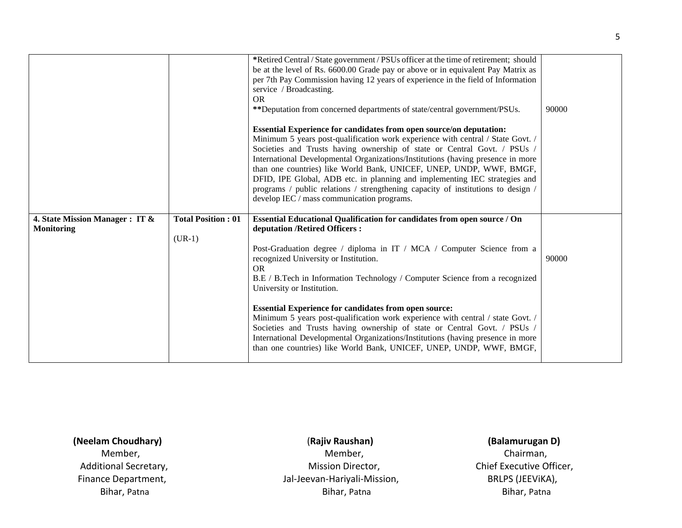|                                 |                           | *Retired Central / State government / PSUs officer at the time of retirement; should<br>be at the level of Rs. 6600.00 Grade pay or above or in equivalent Pay Matrix as<br>per 7th Pay Commission having 12 years of experience in the field of Information<br>service / Broadcasting.<br>OR.<br>**Deputation from concerned departments of state/central government/PSUs.<br><b>Essential Experience for candidates from open source/on deputation:</b><br>Minimum 5 years post-qualification work experience with central / State Govt. /<br>Societies and Trusts having ownership of state or Central Govt. / PSUs /<br>International Developmental Organizations/Institutions (having presence in more<br>than one countries) like World Bank, UNICEF, UNEP, UNDP, WWF, BMGF,<br>DFID, IPE Global, ADB etc. in planning and implementing IEC strategies and<br>programs / public relations / strengthening capacity of institutions to design /<br>develop IEC / mass communication programs. | 90000 |
|---------------------------------|---------------------------|----------------------------------------------------------------------------------------------------------------------------------------------------------------------------------------------------------------------------------------------------------------------------------------------------------------------------------------------------------------------------------------------------------------------------------------------------------------------------------------------------------------------------------------------------------------------------------------------------------------------------------------------------------------------------------------------------------------------------------------------------------------------------------------------------------------------------------------------------------------------------------------------------------------------------------------------------------------------------------------------------|-------|
| 4. State Mission Manager : IT & | <b>Total Position: 01</b> | Essential Educational Qualification for candidates from open source / On                                                                                                                                                                                                                                                                                                                                                                                                                                                                                                                                                                                                                                                                                                                                                                                                                                                                                                                           |       |
| <b>Monitoring</b>               |                           | deputation /Retired Officers:                                                                                                                                                                                                                                                                                                                                                                                                                                                                                                                                                                                                                                                                                                                                                                                                                                                                                                                                                                      |       |
|                                 | $(UR-1)$                  |                                                                                                                                                                                                                                                                                                                                                                                                                                                                                                                                                                                                                                                                                                                                                                                                                                                                                                                                                                                                    |       |
|                                 |                           | Post-Graduation degree / diploma in IT / MCA / Computer Science from a                                                                                                                                                                                                                                                                                                                                                                                                                                                                                                                                                                                                                                                                                                                                                                                                                                                                                                                             |       |
|                                 |                           | recognized University or Institution.<br><b>OR</b><br>B.E / B.Tech in Information Technology / Computer Science from a recognized<br>University or Institution.                                                                                                                                                                                                                                                                                                                                                                                                                                                                                                                                                                                                                                                                                                                                                                                                                                    | 90000 |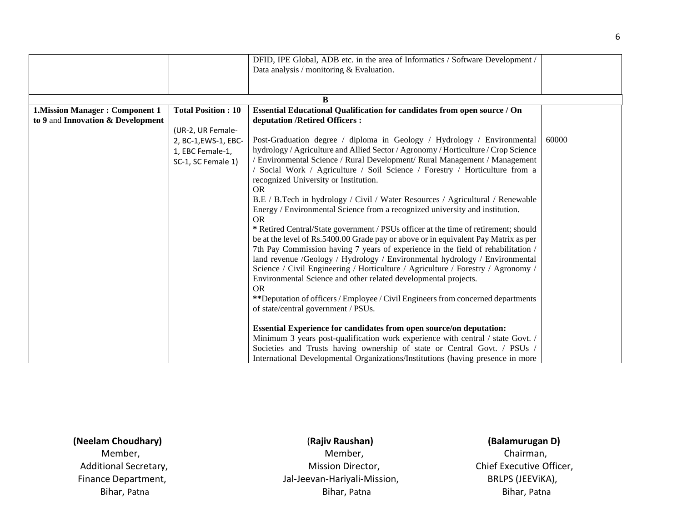|                                       |                           | DFID, IPE Global, ADB etc. in the area of Informatics / Software Development /      |       |
|---------------------------------------|---------------------------|-------------------------------------------------------------------------------------|-------|
|                                       |                           | Data analysis / monitoring $&$ Evaluation.                                          |       |
|                                       |                           |                                                                                     |       |
|                                       |                           |                                                                                     |       |
|                                       |                           | B                                                                                   |       |
| <b>1.Mission Manager: Component 1</b> | <b>Total Position: 10</b> | Essential Educational Qualification for candidates from open source / On            |       |
| to 9 and Innovation & Development     |                           | deputation / Retired Officers :                                                     |       |
|                                       | (UR-2, UR Female-         |                                                                                     |       |
|                                       | 2, BC-1, EWS-1, EBC-      | Post-Graduation degree / diploma in Geology / Hydrology / Environmental             | 60000 |
|                                       | 1, EBC Female-1,          | hydrology / Agriculture and Allied Sector / Agronomy / Horticulture / Crop Science  |       |
|                                       | SC-1, SC Female 1)        | / Environmental Science / Rural Development/ Rural Management / Management          |       |
|                                       |                           | Social Work / Agriculture / Soil Science / Forestry / Horticulture from a           |       |
|                                       |                           | recognized University or Institution.                                               |       |
|                                       |                           | <b>OR</b>                                                                           |       |
|                                       |                           | B.E / B.Tech in hydrology / Civil / Water Resources / Agricultural / Renewable      |       |
|                                       |                           | Energy / Environmental Science from a recognized university and institution.        |       |
|                                       |                           | <b>OR</b>                                                                           |       |
|                                       |                           | * Retired Central/State government / PSUs officer at the time of retirement; should |       |
|                                       |                           | be at the level of Rs.5400.00 Grade pay or above or in equivalent Pay Matrix as per |       |
|                                       |                           | 7th Pay Commission having 7 years of experience in the field of rehabilitation /    |       |
|                                       |                           | land revenue /Geology / Hydrology / Environmental hydrology / Environmental         |       |
|                                       |                           | Science / Civil Engineering / Horticulture / Agriculture / Forestry / Agronomy /    |       |
|                                       |                           | Environmental Science and other related developmental projects.                     |       |
|                                       |                           | <b>OR</b>                                                                           |       |
|                                       |                           | **Deputation of officers / Employee / Civil Engineers from concerned departments    |       |
|                                       |                           | of state/central government / PSUs.                                                 |       |
|                                       |                           |                                                                                     |       |
|                                       |                           | <b>Essential Experience for candidates from open source/on deputation:</b>          |       |
|                                       |                           | Minimum 3 years post-qualification work experience with central / state Govt. /     |       |
|                                       |                           | Societies and Trusts having ownership of state or Central Govt. / PSUs /            |       |
|                                       |                           | International Developmental Organizations/Institutions (having presence in more     |       |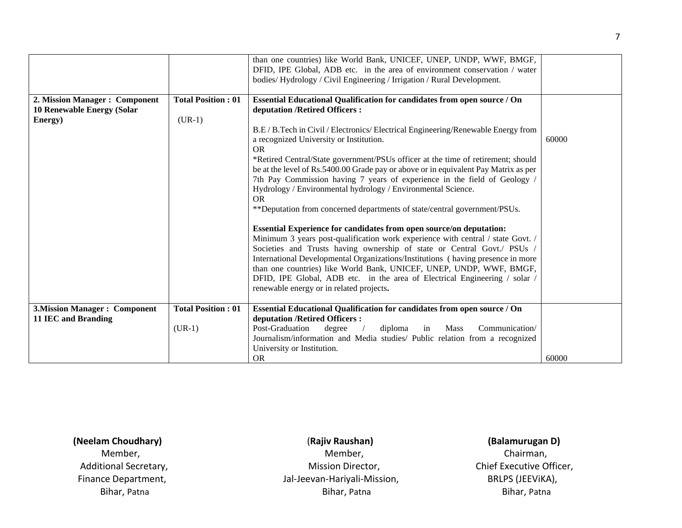|                                                                        |                                       | than one countries) like World Bank, UNICEF, UNEP, UNDP, WWF, BMGF,<br>DFID, IPE Global, ADB etc. in the area of environment conservation / water<br>bodies/Hydrology / Civil Engineering / Irrigation / Rural Development.                                                                                                                                                                                                                                                                                                                                                                                                                                                                                                                                                                                                                                                                                                                                                                                                                                                                                                                                                                               |       |
|------------------------------------------------------------------------|---------------------------------------|-----------------------------------------------------------------------------------------------------------------------------------------------------------------------------------------------------------------------------------------------------------------------------------------------------------------------------------------------------------------------------------------------------------------------------------------------------------------------------------------------------------------------------------------------------------------------------------------------------------------------------------------------------------------------------------------------------------------------------------------------------------------------------------------------------------------------------------------------------------------------------------------------------------------------------------------------------------------------------------------------------------------------------------------------------------------------------------------------------------------------------------------------------------------------------------------------------------|-------|
| 2. Mission Manager: Component<br>10 Renewable Energy (Solar<br>Energy) | <b>Total Position: 01</b><br>$(UR-1)$ | Essential Educational Qualification for candidates from open source / On<br>deputation /Retired Officers:<br>B.E / B.Tech in Civil / Electronics/ Electrical Engineering/Renewable Energy from<br>a recognized University or Institution.<br><b>OR</b><br>*Retired Central/State government/PSUs officer at the time of retirement; should<br>be at the level of Rs.5400.00 Grade pay or above or in equivalent Pay Matrix as per<br>7th Pay Commission having 7 years of experience in the field of Geology /<br>Hydrology / Environmental hydrology / Environmental Science.<br><b>OR</b><br>** Deputation from concerned departments of state/central government/PSUs.<br><b>Essential Experience for candidates from open source/on deputation:</b><br>Minimum 3 years post-qualification work experience with central / state Govt. /<br>Societies and Trusts having ownership of state or Central Govt./ PSUs /<br>International Developmental Organizations/Institutions (having presence in more<br>than one countries) like World Bank, UNICEF, UNEP, UNDP, WWF, BMGF,<br>DFID, IPE Global, ADB etc. in the area of Electrical Engineering / solar /<br>renewable energy or in related projects. | 60000 |
|                                                                        |                                       |                                                                                                                                                                                                                                                                                                                                                                                                                                                                                                                                                                                                                                                                                                                                                                                                                                                                                                                                                                                                                                                                                                                                                                                                           |       |
| <b>3.Mission Manager: Component</b><br>11 IEC and Branding             | <b>Total Position: 01</b><br>$(UR-1)$ | Essential Educational Qualification for candidates from open source / On<br>deputation / Retired Officers :<br>Post-Graduation<br>degree<br>diploma<br>in Mass<br>Communication/<br>$\sqrt{2}$<br>Journalism/information and Media studies/ Public relation from a recognized<br>University or Institution.                                                                                                                                                                                                                                                                                                                                                                                                                                                                                                                                                                                                                                                                                                                                                                                                                                                                                               |       |
|                                                                        |                                       | <b>OR</b>                                                                                                                                                                                                                                                                                                                                                                                                                                                                                                                                                                                                                                                                                                                                                                                                                                                                                                                                                                                                                                                                                                                                                                                                 | 60000 |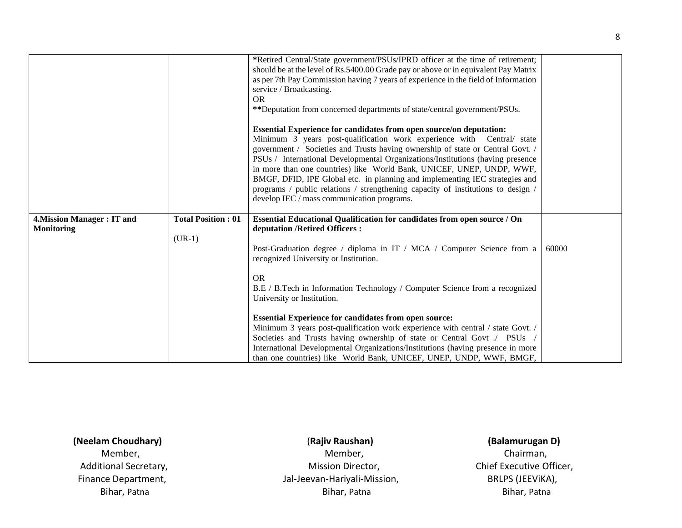|                                   |                           | *Retired Central/State government/PSUs/IPRD officer at the time of retirement;<br>should be at the level of Rs.5400.00 Grade pay or above or in equivalent Pay Matrix<br>as per 7th Pay Commission having 7 years of experience in the field of Information<br>service / Broadcasting.<br><b>OR</b><br>**Deputation from concerned departments of state/central government/PSUs.<br><b>Essential Experience for candidates from open source/on deputation:</b><br>Minimum 3 years post-qualification work experience with Central/ state<br>government / Societies and Trusts having ownership of state or Central Govt. /<br>PSUs / International Developmental Organizations/Institutions (having presence<br>in more than one countries) like World Bank, UNICEF, UNEP, UNDP, WWF,<br>BMGF, DFID, IPE Global etc. in planning and implementing IEC strategies and<br>programs / public relations / strengthening capacity of institutions to design /<br>develop IEC / mass communication programs. |       |
|-----------------------------------|---------------------------|--------------------------------------------------------------------------------------------------------------------------------------------------------------------------------------------------------------------------------------------------------------------------------------------------------------------------------------------------------------------------------------------------------------------------------------------------------------------------------------------------------------------------------------------------------------------------------------------------------------------------------------------------------------------------------------------------------------------------------------------------------------------------------------------------------------------------------------------------------------------------------------------------------------------------------------------------------------------------------------------------------|-------|
| <b>4. Mission Manager: IT and</b> | <b>Total Position: 01</b> | Essential Educational Qualification for candidates from open source / On                                                                                                                                                                                                                                                                                                                                                                                                                                                                                                                                                                                                                                                                                                                                                                                                                                                                                                                               |       |
| <b>Monitoring</b>                 | $(UR-1)$                  | deputation /Retired Officers:                                                                                                                                                                                                                                                                                                                                                                                                                                                                                                                                                                                                                                                                                                                                                                                                                                                                                                                                                                          |       |
|                                   |                           | Post-Graduation degree / diploma in IT / MCA / Computer Science from a<br>recognized University or Institution.                                                                                                                                                                                                                                                                                                                                                                                                                                                                                                                                                                                                                                                                                                                                                                                                                                                                                        | 60000 |
|                                   |                           | <b>OR</b><br>B.E / B.Tech in Information Technology / Computer Science from a recognized<br>University or Institution.                                                                                                                                                                                                                                                                                                                                                                                                                                                                                                                                                                                                                                                                                                                                                                                                                                                                                 |       |
|                                   |                           | <b>Essential Experience for candidates from open source:</b><br>Minimum 3 years post-qualification work experience with central / state Govt. /<br>Societies and Trusts having ownership of state or Central Govt ./ PSUs<br>International Developmental Organizations/Institutions (having presence in more<br>than one countries) like World Bank, UNICEF, UNEP, UNDP, WWF, BMGF,                                                                                                                                                                                                                                                                                                                                                                                                                                                                                                                                                                                                                    |       |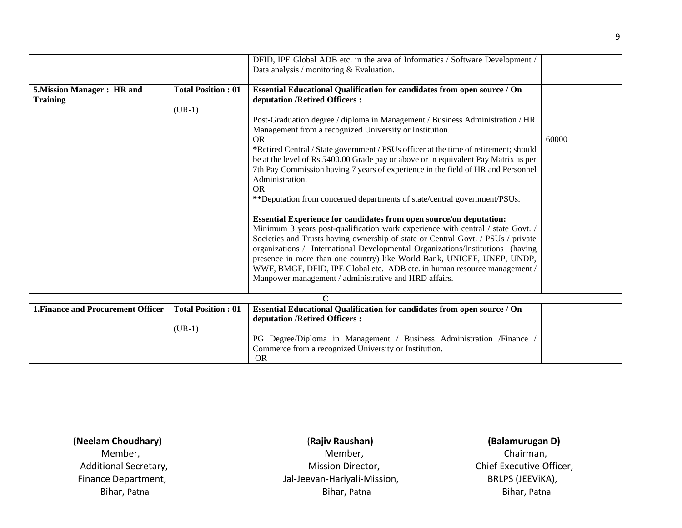|                                                      |                                       | DFID, IPE Global ADB etc. in the area of Informatics / Software Development /<br>Data analysis / monitoring $&$ Evaluation.                                                                                                                                                                                                                                                                                                                                                                                                                                                                                                                                 |       |
|------------------------------------------------------|---------------------------------------|-------------------------------------------------------------------------------------------------------------------------------------------------------------------------------------------------------------------------------------------------------------------------------------------------------------------------------------------------------------------------------------------------------------------------------------------------------------------------------------------------------------------------------------------------------------------------------------------------------------------------------------------------------------|-------|
| <b>5. Mission Manager: HR and</b><br><b>Training</b> | <b>Total Position: 01</b><br>$(UR-1)$ | <b>Essential Educational Qualification for candidates from open source / On</b><br>deputation / Retired Officers :<br>Post-Graduation degree / diploma in Management / Business Administration / HR<br>Management from a recognized University or Institution.<br><b>OR</b><br>*Retired Central / State government / PSUs officer at the time of retirement; should<br>be at the level of Rs.5400.00 Grade pay or above or in equivalent Pay Matrix as per<br>7th Pay Commission having 7 years of experience in the field of HR and Personnel<br>Administration.<br><b>OR</b><br>**Deputation from concerned departments of state/central government/PSUs. | 60000 |
|                                                      |                                       | Essential Experience for candidates from open source/on deputation:<br>Minimum 3 years post-qualification work experience with central / state Govt. /<br>Societies and Trusts having ownership of state or Central Govt. / PSUs / private<br>organizations / International Developmental Organizations/Institutions (having<br>presence in more than one country) like World Bank, UNICEF, UNEP, UNDP,<br>WWF, BMGF, DFID, IPE Global etc. ADB etc. in human resource management /<br>Manpower management / administrative and HRD affairs.                                                                                                                |       |
|                                                      |                                       | C                                                                                                                                                                                                                                                                                                                                                                                                                                                                                                                                                                                                                                                           |       |
| <b>1. Finance and Procurement Officer</b>            | <b>Total Position: 01</b><br>$(UR-1)$ | Essential Educational Qualification for candidates from open source / On<br>deputation / Retired Officers :<br>PG Degree/Diploma in Management / Business Administration /Finance /<br>Commerce from a recognized University or Institution.                                                                                                                                                                                                                                                                                                                                                                                                                |       |
|                                                      |                                       | <b>OR</b>                                                                                                                                                                                                                                                                                                                                                                                                                                                                                                                                                                                                                                                   |       |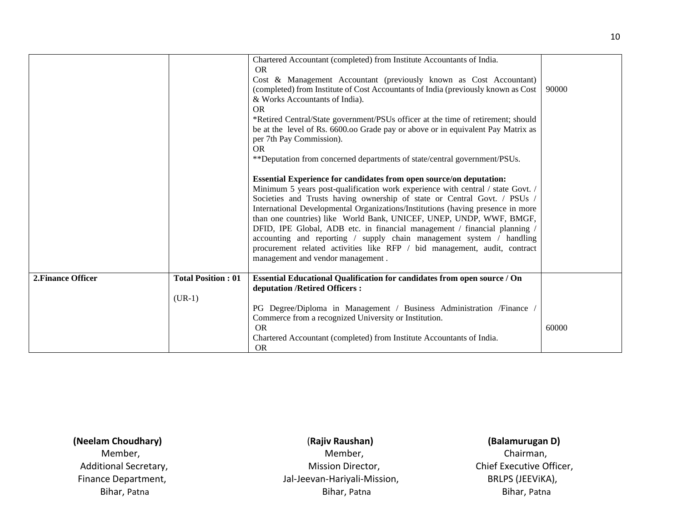|                    |                           | Chartered Accountant (completed) from Institute Accountants of India.<br><b>OR</b><br>Cost & Management Accountant (previously known as Cost Accountant)<br>(completed) from Institute of Cost Accountants of India (previously known as Cost<br>& Works Accountants of India).<br><b>OR</b><br>*Retired Central/State government/PSUs officer at the time of retirement; should<br>be at the level of Rs. 6600.00 Grade pay or above or in equivalent Pay Matrix as<br>per 7th Pay Commission).<br><b>OR</b><br>**Deputation from concerned departments of state/central government/PSUs.<br><b>Essential Experience for candidates from open source/on deputation:</b><br>Minimum 5 years post-qualification work experience with central / state Govt. /<br>Societies and Trusts having ownership of state or Central Govt. / PSUs /<br>International Developmental Organizations/Institutions (having presence in more<br>than one countries) like World Bank, UNICEF, UNEP, UNDP, WWF, BMGF,<br>DFID, IPE Global, ADB etc. in financial management / financial planning /<br>accounting and reporting / supply chain management system / handling<br>procurement related activities like RFP / bid management, audit, contract<br>management and vendor management. | 90000 |
|--------------------|---------------------------|--------------------------------------------------------------------------------------------------------------------------------------------------------------------------------------------------------------------------------------------------------------------------------------------------------------------------------------------------------------------------------------------------------------------------------------------------------------------------------------------------------------------------------------------------------------------------------------------------------------------------------------------------------------------------------------------------------------------------------------------------------------------------------------------------------------------------------------------------------------------------------------------------------------------------------------------------------------------------------------------------------------------------------------------------------------------------------------------------------------------------------------------------------------------------------------------------------------------------------------------------------------------------|-------|
| 2. Finance Officer | <b>Total Position: 01</b> | Essential Educational Qualification for candidates from open source / On<br>deputation / Retired Officers :                                                                                                                                                                                                                                                                                                                                                                                                                                                                                                                                                                                                                                                                                                                                                                                                                                                                                                                                                                                                                                                                                                                                                              |       |
|                    | $(UR-1)$                  |                                                                                                                                                                                                                                                                                                                                                                                                                                                                                                                                                                                                                                                                                                                                                                                                                                                                                                                                                                                                                                                                                                                                                                                                                                                                          |       |
|                    |                           | PG Degree/Diploma in Management / Business Administration /Finance /                                                                                                                                                                                                                                                                                                                                                                                                                                                                                                                                                                                                                                                                                                                                                                                                                                                                                                                                                                                                                                                                                                                                                                                                     |       |
|                    |                           | Commerce from a recognized University or Institution.<br><b>OR</b>                                                                                                                                                                                                                                                                                                                                                                                                                                                                                                                                                                                                                                                                                                                                                                                                                                                                                                                                                                                                                                                                                                                                                                                                       | 60000 |
|                    |                           |                                                                                                                                                                                                                                                                                                                                                                                                                                                                                                                                                                                                                                                                                                                                                                                                                                                                                                                                                                                                                                                                                                                                                                                                                                                                          |       |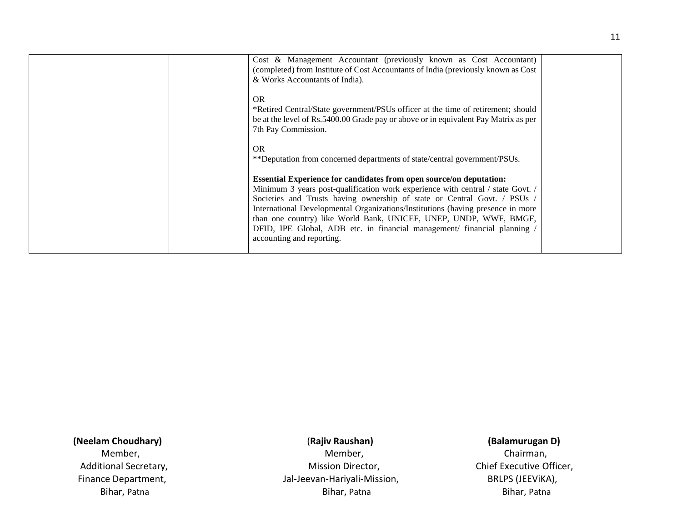| Cost & Management Accountant (previously known as Cost Accountant)<br>(completed) from Institute of Cost Accountants of India (previously known as Cost<br>& Works Accountants of India).                                                                                                                                                                                                                                                                                                                |  |
|----------------------------------------------------------------------------------------------------------------------------------------------------------------------------------------------------------------------------------------------------------------------------------------------------------------------------------------------------------------------------------------------------------------------------------------------------------------------------------------------------------|--|
| <b>OR</b><br>*Retired Central/State government/PSUs officer at the time of retirement; should<br>be at the level of Rs.5400.00 Grade pay or above or in equivalent Pay Matrix as per<br>7th Pay Commission.                                                                                                                                                                                                                                                                                              |  |
| OR.<br>**Deputation from concerned departments of state/central government/PSUs.                                                                                                                                                                                                                                                                                                                                                                                                                         |  |
| <b>Essential Experience for candidates from open source/on deputation:</b><br>Minimum 3 years post-qualification work experience with central / state Govt. /<br>Societies and Trusts having ownership of state or Central Govt. / PSUs /<br>International Developmental Organizations/Institutions (having presence in more<br>than one country) like World Bank, UNICEF, UNEP, UNDP, WWF, BMGF,<br>DFID, IPE Global, ADB etc. in financial management/ financial planning<br>accounting and reporting. |  |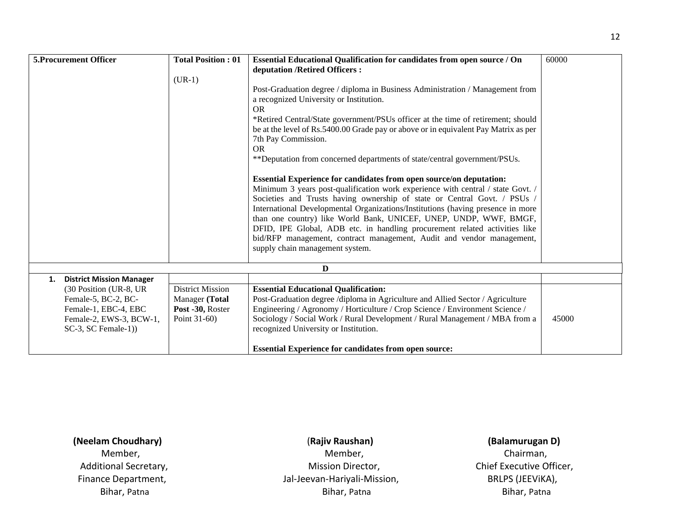|    | 5. Procurement Officer                                                                            | <b>Total Position: 01</b><br>$(UR-1)$              | Essential Educational Qualification for candidates from open source / On<br>deputation /Retired Officers:<br>Post-Graduation degree / diploma in Business Administration / Management from<br>a recognized University or Institution.<br><b>OR</b><br>*Retired Central/State government/PSUs officer at the time of retirement; should<br>be at the level of Rs.5400.00 Grade pay or above or in equivalent Pay Matrix as per<br>7th Pay Commission.<br><b>OR</b><br>**Deputation from concerned departments of state/central government/PSUs.<br><b>Essential Experience for candidates from open source/on deputation:</b><br>Minimum 3 years post-qualification work experience with central / state Govt. /<br>Societies and Trusts having ownership of state or Central Govt. / PSUs /<br>International Developmental Organizations/Institutions (having presence in more<br>than one country) like World Bank, UNICEF, UNEP, UNDP, WWF, BMGF,<br>DFID, IPE Global, ADB etc. in handling procurement related activities like<br>bid/RFP management, contract management, Audit and vendor management, | 60000 |
|----|---------------------------------------------------------------------------------------------------|----------------------------------------------------|------------------------------------------------------------------------------------------------------------------------------------------------------------------------------------------------------------------------------------------------------------------------------------------------------------------------------------------------------------------------------------------------------------------------------------------------------------------------------------------------------------------------------------------------------------------------------------------------------------------------------------------------------------------------------------------------------------------------------------------------------------------------------------------------------------------------------------------------------------------------------------------------------------------------------------------------------------------------------------------------------------------------------------------------------------------------------------------------------------|-------|
|    |                                                                                                   |                                                    | supply chain management system.                                                                                                                                                                                                                                                                                                                                                                                                                                                                                                                                                                                                                                                                                                                                                                                                                                                                                                                                                                                                                                                                            |       |
|    |                                                                                                   |                                                    | D                                                                                                                                                                                                                                                                                                                                                                                                                                                                                                                                                                                                                                                                                                                                                                                                                                                                                                                                                                                                                                                                                                          |       |
| 1. | <b>District Mission Manager</b>                                                                   |                                                    |                                                                                                                                                                                                                                                                                                                                                                                                                                                                                                                                                                                                                                                                                                                                                                                                                                                                                                                                                                                                                                                                                                            |       |
|    | (30 Position (UR-8, UR                                                                            | <b>District Mission</b>                            | <b>Essential Educational Qualification:</b>                                                                                                                                                                                                                                                                                                                                                                                                                                                                                                                                                                                                                                                                                                                                                                                                                                                                                                                                                                                                                                                                |       |
|    | Female-5, BC-2, BC-<br>Female-1, EBC-4, EBC<br>Female-2, EWS-3, BCW-1,<br>$SC-3$ , $SC$ Female-1) | Manager (Total<br>Post -30, Roster<br>Point 31-60) | Post-Graduation degree /diploma in Agriculture and Allied Sector / Agriculture<br>Engineering / Agronomy / Horticulture / Crop Science / Environment Science /<br>Sociology / Social Work / Rural Development / Rural Management / MBA from a<br>recognized University or Institution.                                                                                                                                                                                                                                                                                                                                                                                                                                                                                                                                                                                                                                                                                                                                                                                                                     | 45000 |
|    |                                                                                                   |                                                    | <b>Essential Experience for candidates from open source:</b>                                                                                                                                                                                                                                                                                                                                                                                                                                                                                                                                                                                                                                                                                                                                                                                                                                                                                                                                                                                                                                               |       |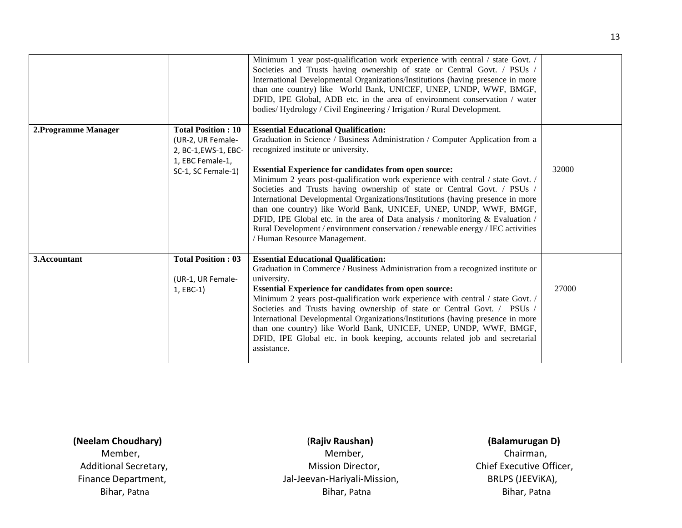|                      |                                                             | Minimum 1 year post-qualification work experience with central / state Govt. /<br>Societies and Trusts having ownership of state or Central Govt. / PSUs /<br>International Developmental Organizations/Institutions (having presence in more<br>than one country) like World Bank, UNICEF, UNEP, UNDP, WWF, BMGF,<br>DFID, IPE Global, ADB etc. in the area of environment conservation / water<br>bodies/Hydrology / Civil Engineering / Irrigation / Rural Development.                                                                                                                                                         |       |
|----------------------|-------------------------------------------------------------|------------------------------------------------------------------------------------------------------------------------------------------------------------------------------------------------------------------------------------------------------------------------------------------------------------------------------------------------------------------------------------------------------------------------------------------------------------------------------------------------------------------------------------------------------------------------------------------------------------------------------------|-------|
| 2. Programme Manager | <b>Total Position: 10</b>                                   | <b>Essential Educational Qualification:</b>                                                                                                                                                                                                                                                                                                                                                                                                                                                                                                                                                                                        |       |
|                      | (UR-2, UR Female-                                           | Graduation in Science / Business Administration / Computer Application from a                                                                                                                                                                                                                                                                                                                                                                                                                                                                                                                                                      |       |
|                      | 2, BC-1, EWS-1, EBC-                                        | recognized institute or university.                                                                                                                                                                                                                                                                                                                                                                                                                                                                                                                                                                                                |       |
|                      | 1, EBC Female-1,                                            |                                                                                                                                                                                                                                                                                                                                                                                                                                                                                                                                                                                                                                    |       |
|                      | SC-1, SC Female-1)                                          | <b>Essential Experience for candidates from open source:</b><br>Minimum 2 years post-qualification work experience with central / state Govt. /<br>Societies and Trusts having ownership of state or Central Govt. / PSUs /<br>International Developmental Organizations/Institutions (having presence in more<br>than one country) like World Bank, UNICEF, UNEP, UNDP, WWF, BMGF,<br>DFID, IPE Global etc. in the area of Data analysis / monitoring & Evaluation /<br>Rural Development / environment conservation / renewable energy / IEC activities<br>Human Resource Management.                                            | 32000 |
| 3.Accountant         | <b>Total Position: 03</b><br>(UR-1, UR Female-<br>1, EBC-1) | <b>Essential Educational Qualification:</b><br>Graduation in Commerce / Business Administration from a recognized institute or<br>university.<br><b>Essential Experience for candidates from open source:</b><br>Minimum 2 years post-qualification work experience with central / state Govt. /<br>Societies and Trusts having ownership of state or Central Govt. / PSUs /<br>International Developmental Organizations/Institutions (having presence in more<br>than one country) like World Bank, UNICEF, UNEP, UNDP, WWF, BMGF,<br>DFID, IPE Global etc. in book keeping, accounts related job and secretarial<br>assistance. | 27000 |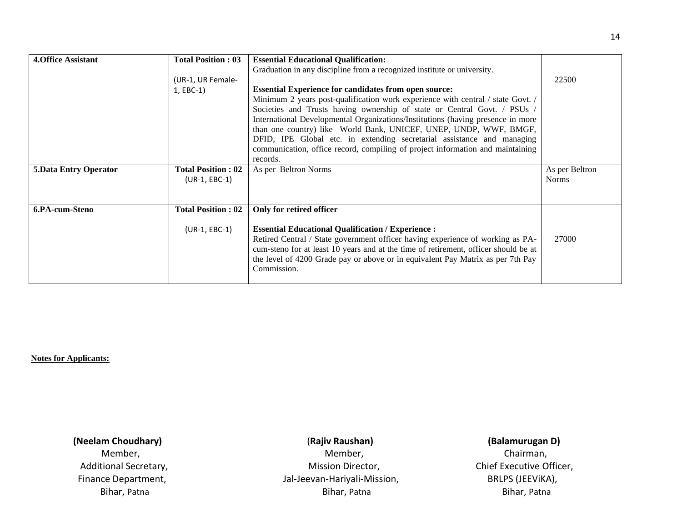| <b>4. Office Assistant</b>   | <b>Total Position: 03</b> | <b>Essential Educational Qualification:</b>                                         |                                |
|------------------------------|---------------------------|-------------------------------------------------------------------------------------|--------------------------------|
|                              |                           | Graduation in any discipline from a recognized institute or university.             |                                |
|                              | (UR-1, UR Female-         |                                                                                     | 22500                          |
|                              |                           |                                                                                     |                                |
|                              | 1, EBC-1)                 | <b>Essential Experience for candidates from open source:</b>                        |                                |
|                              |                           | Minimum 2 years post-qualification work experience with central / state Govt. /     |                                |
|                              |                           | Societies and Trusts having ownership of state or Central Govt. / PSUs /            |                                |
|                              |                           | International Developmental Organizations/Institutions (having presence in more     |                                |
|                              |                           | than one country) like World Bank, UNICEF, UNEP, UNDP, WWF, BMGF,                   |                                |
|                              |                           | DFID, IPE Global etc. in extending secretarial assistance and managing              |                                |
|                              |                           | communication, office record, compiling of project information and maintaining      |                                |
|                              |                           | records.                                                                            |                                |
| <b>5.Data Entry Operator</b> | <b>Total Position: 02</b> |                                                                                     |                                |
|                              |                           |                                                                                     |                                |
|                              |                           | As per Beltron Norms                                                                | As per Beltron<br><b>Norms</b> |
|                              | $(UR-1, EBC-1)$           |                                                                                     |                                |
|                              |                           |                                                                                     |                                |
| 6.PA-cum-Steno               | <b>Total Position: 02</b> | Only for retired officer                                                            |                                |
|                              |                           |                                                                                     |                                |
|                              |                           |                                                                                     |                                |
|                              | $(UR-1, EBC-1)$           | <b>Essential Educational Qualification / Experience :</b>                           |                                |
|                              |                           | Retired Central / State government officer having experience of working as PA-      | 27000                          |
|                              |                           | cum-steno for at least 10 years and at the time of retirement, officer should be at |                                |
|                              |                           | the level of 4200 Grade pay or above or in equivalent Pay Matrix as per 7th Pay     |                                |
|                              |                           | Commission.                                                                         |                                |

**Notes for Applicants:** 

 **(Neelam Choudhary)** (**Rajiv Raushan) (Balamurugan D)**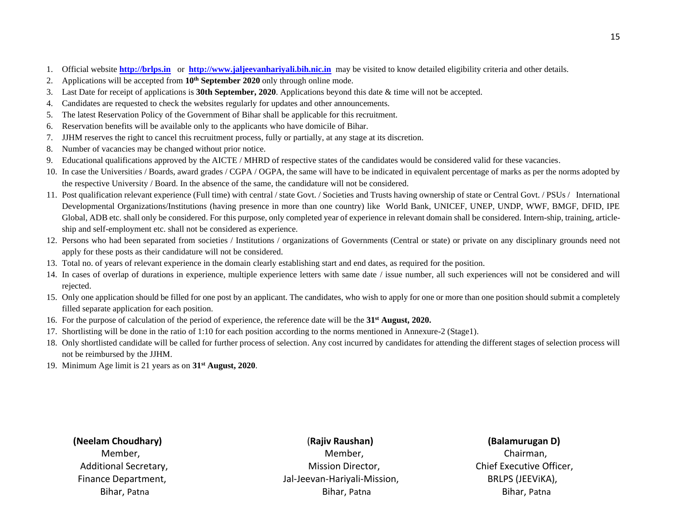- 1. Official website **[http://brlps.in](http://brlps.in/)** or **[http://www.jaljeevanhariyali.bih.nic.in](http://www.jaljeevanhariyali.bih.nic.in/)** may be visited to know detailed eligibility criteria and other details.
- 2. Applications will be accepted from **10th September 2020** only through online mode.
- 3. Last Date for receipt of applications is **30th September, 2020**. Applications beyond this date & time will not be accepted.
- 4. Candidates are requested to check the websites regularly for updates and other announcements.
- 5. The latest Reservation Policy of the Government of Bihar shall be applicable for this recruitment.
- 6. Reservation benefits will be available only to the applicants who have domicile of Bihar.
- 7. JJHM reserves the right to cancel this recruitment process, fully or partially, at any stage at its discretion.
- 8. Number of vacancies may be changed without prior notice.
- 9. Educational qualifications approved by the AICTE / MHRD of respective states of the candidates would be considered valid for these vacancies.
- 10. In case the Universities / Boards, award grades / CGPA / OGPA, the same will have to be indicated in equivalent percentage of marks as per the norms adopted by the respective University / Board. In the absence of the same, the candidature will not be considered.
- 11. Post qualification relevant experience (Full time) with central / state Govt. / Societies and Trusts having ownership of state or Central Govt. / PSUs / International Developmental Organizations/Institutions (having presence in more than one country) like World Bank, UNICEF, UNEP, UNDP, WWF, BMGF, DFID, IPE Global, ADB etc. shall only be considered. For this purpose, only completed year of experience in relevant domain shall be considered. Intern-ship, training, articleship and self-employment etc. shall not be considered as experience.
- 12. Persons who had been separated from societies / Institutions / organizations of Governments (Central or state) or private on any disciplinary grounds need not apply for these posts as their candidature will not be considered.
- 13. Total no. of years of relevant experience in the domain clearly establishing start and end dates, as required for the position.
- 14. In cases of overlap of durations in experience, multiple experience letters with same date / issue number, all such experiences will not be considered and will rejected.
- 15. Only one application should be filled for one post by an applicant. The candidates, who wish to apply for one or more than one position should submit a completely filled separate application for each position.
- 16. For the purpose of calculation of the period of experience, the reference date will be the **31st August, 2020.**
- 17. Shortlisting will be done in the ratio of 1:10 for each position according to the norms mentioned in Annexure-2 (Stage1).
- 18. Only shortlisted candidate will be called for further process of selection. Any cost incurred by candidates for attending the different stages of selection process will not be reimbursed by the JJHM.
- 19. Minimum Age limit is 21 years as on **31 st August, 2020**.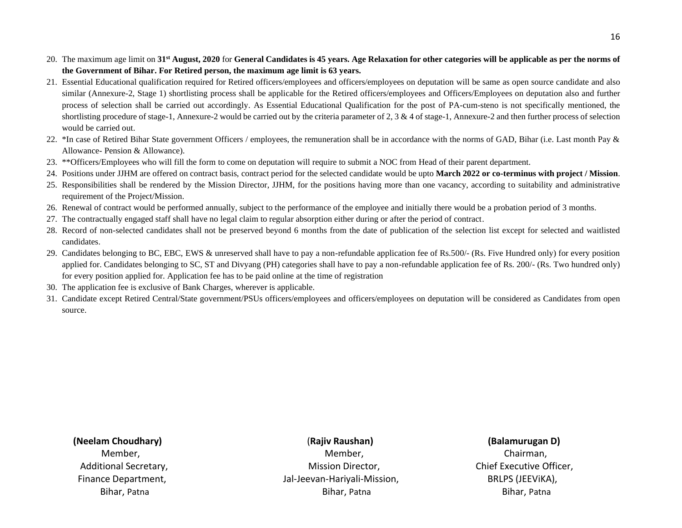- 20. The maximum age limit on **31st August, 2020** for **General Candidates is 45 years. Age Relaxation for other categories will be applicable as per the norms of the Government of Bihar. For Retired person, the maximum age limit is 63 years.**
- 21. Essential Educational qualification required for Retired officers/employees and officers/employees on deputation will be same as open source candidate and also similar (Annexure-2, Stage 1) shortlisting process shall be applicable for the Retired officers/employees and Officers/Employees on deputation also and further process of selection shall be carried out accordingly. As Essential Educational Qualification for the post of PA-cum-steno is not specifically mentioned, the shortlisting procedure of stage-1, Annexure-2 would be carried out by the criteria parameter of 2, 3  $\&$  4 of stage-1, Annexure-2 and then further process of selection would be carried out.
- 22. \*In case of Retired Bihar State government Officers / employees, the remuneration shall be in accordance with the norms of GAD, Bihar (i.e. Last month Pay & Allowance- Pension & Allowance).
- 23. \*\*Officers/Employees who will fill the form to come on deputation will require to submit a NOC from Head of their parent department.
- 24. Positions under JJHM are offered on contract basis, contract period for the selected candidate would be upto **March 2022 or co-terminus with project / Mission**.
- 25. Responsibilities shall be rendered by the Mission Director, JJHM, for the positions having more than one vacancy, according to suitability and administrative requirement of the Project/Mission.
- 26. Renewal of contract would be performed annually, subject to the performance of the employee and initially there would be a probation period of 3 months.
- 27. The contractually engaged staff shall have no legal claim to regular absorption either during or after the period of contract.
- 28. Record of non-selected candidates shall not be preserved beyond 6 months from the date of publication of the selection list except for selected and waitlisted candidates.
- 29. Candidates belonging to BC, EBC, EWS & unreserved shall have to pay a non-refundable application fee of Rs.500/- (Rs. Five Hundred only) for every position applied for. Candidates belonging to SC, ST and Divyang (PH) categories shall have to pay a non-refundable application fee of Rs. 200/- (Rs. Two hundred only) for every position applied for. Application fee has to be paid online at the time of registration
- 30. The application fee is exclusive of Bank Charges, wherever is applicable.
- 31. Candidate except Retired Central/State government/PSUs officers/employees and officers/employees on deputation will be considered as Candidates from open source.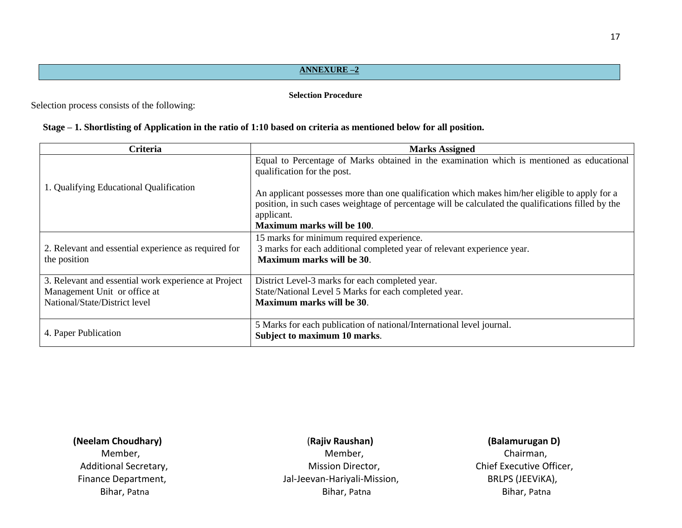### **ANNEXURE –2**

### **Selection Procedure**

Selection process consists of the following:

### **Stage – 1. Shortlisting of Application in the ratio of 1:10 based on criteria as mentioned below for all position.**

| <b>Criteria</b>                                                      | <b>Marks Assigned</b>                                                                                                                                                                                                                             |
|----------------------------------------------------------------------|---------------------------------------------------------------------------------------------------------------------------------------------------------------------------------------------------------------------------------------------------|
|                                                                      | Equal to Percentage of Marks obtained in the examination which is mentioned as educational<br>qualification for the post.                                                                                                                         |
| 1. Qualifying Educational Qualification                              | An applicant possesses more than one qualification which makes him/her eligible to apply for a<br>position, in such cases weightage of percentage will be calculated the qualifications filled by the<br>applicant.<br>Maximum marks will be 100. |
| 2. Relevant and essential experience as required for<br>the position | 15 marks for minimum required experience.<br>3 marks for each additional completed year of relevant experience year.<br>Maximum marks will be 30.                                                                                                 |
| 3. Relevant and essential work experience at Project                 | District Level-3 marks for each completed year.                                                                                                                                                                                                   |
| Management Unit or office at                                         | State/National Level 5 Marks for each completed year.                                                                                                                                                                                             |
| National/State/District level                                        | Maximum marks will be 30.                                                                                                                                                                                                                         |
| 4. Paper Publication                                                 | 5 Marks for each publication of national/International level journal.<br>Subject to maximum 10 marks.                                                                                                                                             |

## **(Neelam Choudhary)** (**Rajiv Raushan) (Balamurugan D)**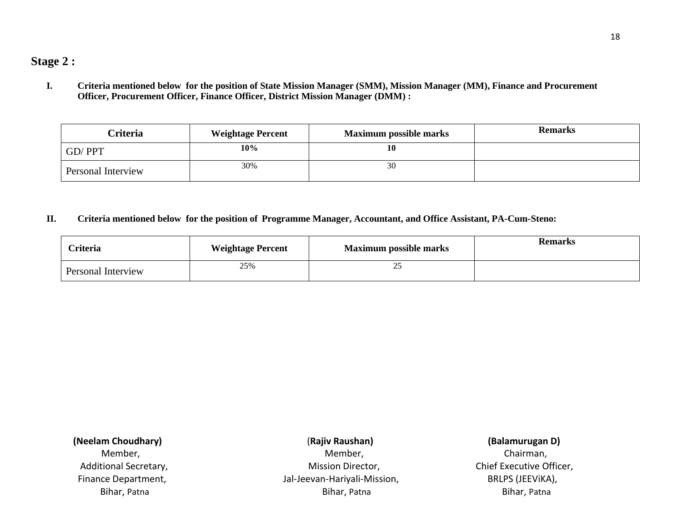**I. Criteria mentioned below for the position of State Mission Manager (SMM), Mission Manager (MM), Finance and Procurement Officer, Procurement Officer, Finance Officer, District Mission Manager (DMM) :**

| Criteria           | <b>Weightage Percent</b> | <b>Maximum possible marks</b> | <b>Remarks</b> |
|--------------------|--------------------------|-------------------------------|----------------|
| GD/PPT             | 10%                      | 10                            |                |
| Personal Interview | 30%                      | 30                            |                |

## **II. Criteria mentioned below for the position of Programme Manager, Accountant, and Office Assistant, PA-Cum-Steno:**

| <b>Criteria</b>    | <b>Weightage Percent</b> | <b>Maximum possible marks</b> | <b>Remarks</b> |
|--------------------|--------------------------|-------------------------------|----------------|
| Personal Interview | 25%                      | سە                            |                |

| (Neelam Choudhary)    |  |  |
|-----------------------|--|--|
| Member,               |  |  |
| Additional Secretary, |  |  |
| Finance Department,   |  |  |
|                       |  |  |

Member, and the matrix of the Member, the Member, the Member, the Chairman, the Chairman, the Chairman, the Ch Jal-Jeevan-Hariyali-Mission, BRLPS (JEEViKA), Bihar, Patna Bihar, Patna Bihar, Patna

## **(Neelam Choudhary)** (**Rajiv Raushan) (Balamurugan D)**

Mission Director, **Mission Director, Additional Secretary, Chief Executive Officer,**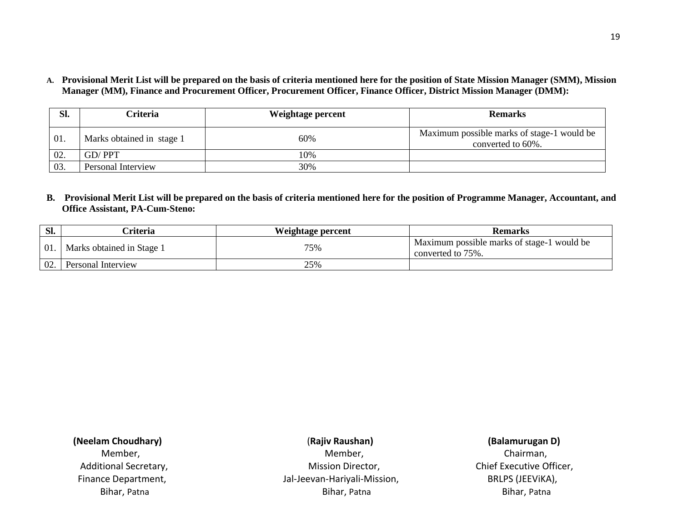**A. Provisional Merit List will be prepared on the basis of criteria mentioned here for the position of State Mission Manager (SMM), Mission Manager (MM), Finance and Procurement Officer, Procurement Officer, Finance Officer, District Mission Manager (DMM):**

| Sl. | <b>Criteria</b>           | Weightage percent | <b>Remarks</b>                                                  |
|-----|---------------------------|-------------------|-----------------------------------------------------------------|
| 01. | Marks obtained in stage 1 | 60%               | Maximum possible marks of stage-1 would be<br>converted to 60%. |
| 02. | GD/PPT                    | 10%               |                                                                 |
| 03. | Personal Interview        | 30%               |                                                                 |

**B. Provisional Merit List will be prepared on the basis of criteria mentioned here for the position of Programme Manager, Accountant, and Office Assistant, PA-Cum-Steno:**

| Sl. | `riteria                  | Weightage percent | <b>Remarks</b>                                                  |
|-----|---------------------------|-------------------|-----------------------------------------------------------------|
| 01  | Marks obtained in Stage 1 | 75%               | Maximum possible marks of stage-1 would be<br>converted to 75%. |
| 02. | Personal Interview        | 25%               |                                                                 |

## **(Neelam Choudhary)** (**Rajiv Raushan) (Balamurugan D)**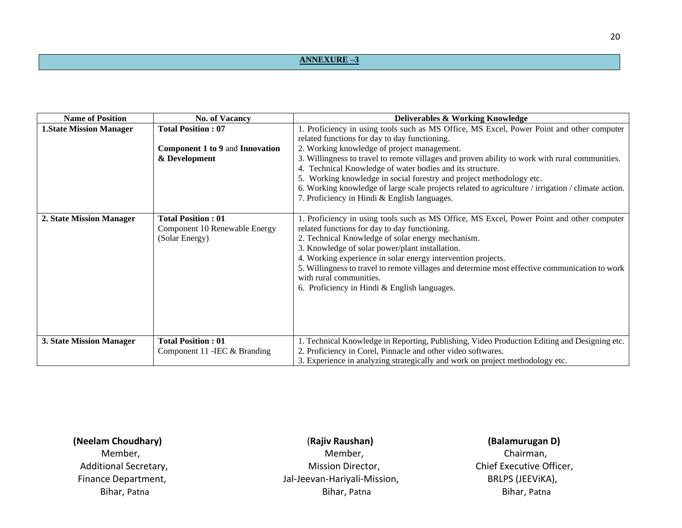## **ANNEXURE –3**

| <b>Name of Position</b>         | <b>No. of Vacancy</b>                                                         | <b>Deliverables &amp; Working Knowledge</b>                                                                                                                                                                                                                                                                                                                                                                                                                                                                                                                                            |
|---------------------------------|-------------------------------------------------------------------------------|----------------------------------------------------------------------------------------------------------------------------------------------------------------------------------------------------------------------------------------------------------------------------------------------------------------------------------------------------------------------------------------------------------------------------------------------------------------------------------------------------------------------------------------------------------------------------------------|
| <b>1. State Mission Manager</b> | <b>Total Position: 07</b><br>Component 1 to 9 and Innovation<br>& Development | 1. Proficiency in using tools such as MS Office, MS Excel, Power Point and other computer<br>related functions for day to day functioning.<br>2. Working knowledge of project management.<br>3. Willingness to travel to remote villages and proven ability to work with rural communities.<br>4. Technical Knowledge of water bodies and its structure.<br>5. Working knowledge in social forestry and project methodology etc.<br>6. Working knowledge of large scale projects related to agriculture / irrigation / climate action.<br>7. Proficiency in Hindi & English languages. |
| 2. State Mission Manager        | <b>Total Position: 01</b><br>Component 10 Renewable Energy<br>(Solar Energy)  | 1. Proficiency in using tools such as MS Office, MS Excel, Power Point and other computer<br>related functions for day to day functioning.<br>2. Technical Knowledge of solar energy mechanism.<br>3. Knowledge of solar power/plant installation.<br>4. Working experience in solar energy intervention projects.<br>5. Willingness to travel to remote villages and determine most effective communication to work<br>with rural communities.<br>6. Proficiency in Hindi & English languages.                                                                                        |
| 3. State Mission Manager        | <b>Total Position: 01</b><br>Component 11 - IEC & Branding                    | 1. Technical Knowledge in Reporting, Publishing, Video Production Editing and Designing etc.<br>2. Proficiency in Corel, Pinnacle and other video softwares.<br>3. Experience in analyzing strategically and work on project methodology etc.                                                                                                                                                                                                                                                                                                                                          |

## **(Neelam Choudhary)** (**Rajiv Raushan) (Balamurugan D)**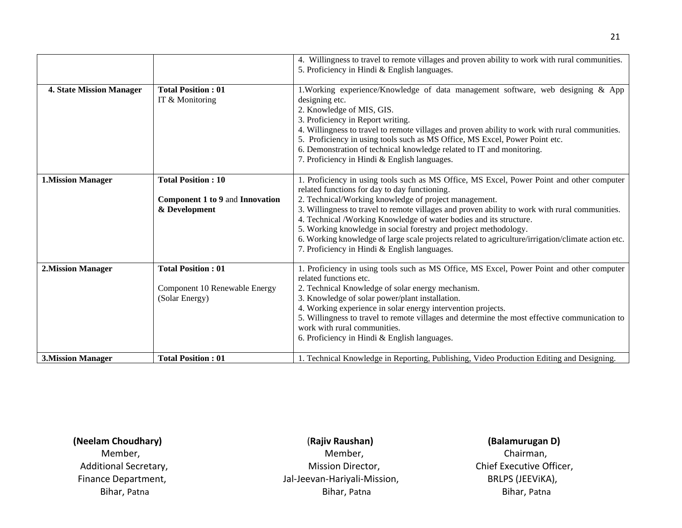|                                 |                                                                               | 4. Willingness to travel to remote villages and proven ability to work with rural communities.<br>5. Proficiency in Hindi & English languages.                                                                                                                                                                                                                                                                                                                                                                                                                                                        |
|---------------------------------|-------------------------------------------------------------------------------|-------------------------------------------------------------------------------------------------------------------------------------------------------------------------------------------------------------------------------------------------------------------------------------------------------------------------------------------------------------------------------------------------------------------------------------------------------------------------------------------------------------------------------------------------------------------------------------------------------|
| <b>4. State Mission Manager</b> | <b>Total Position: 01</b><br>IT & Monitoring                                  | 1. Working experience/Knowledge of data management software, web designing & App<br>designing etc.<br>2. Knowledge of MIS, GIS.<br>3. Proficiency in Report writing.<br>4. Willingness to travel to remote villages and proven ability to work with rural communities.<br>5. Proficiency in using tools such as MS Office, MS Excel, Power Point etc.<br>6. Demonstration of technical knowledge related to IT and monitoring.<br>7. Proficiency in Hindi & English languages.                                                                                                                        |
| <b>1.Mission Manager</b>        | <b>Total Position: 10</b><br>Component 1 to 9 and Innovation<br>& Development | 1. Proficiency in using tools such as MS Office, MS Excel, Power Point and other computer<br>related functions for day to day functioning.<br>2. Technical/Working knowledge of project management.<br>3. Willingness to travel to remote villages and proven ability to work with rural communities.<br>4. Technical /Working Knowledge of water bodies and its structure.<br>5. Working knowledge in social forestry and project methodology.<br>6. Working knowledge of large scale projects related to agriculture/irrigation/climate action etc.<br>7. Proficiency in Hindi & English languages. |
| <b>2.Mission Manager</b>        | <b>Total Position: 01</b><br>Component 10 Renewable Energy<br>(Solar Energy)  | 1. Proficiency in using tools such as MS Office, MS Excel, Power Point and other computer<br>related functions etc.<br>2. Technical Knowledge of solar energy mechanism.<br>3. Knowledge of solar power/plant installation.<br>4. Working experience in solar energy intervention projects.<br>5. Willingness to travel to remote villages and determine the most effective communication to<br>work with rural communities.<br>6. Proficiency in Hindi & English languages.                                                                                                                          |
| <b>3.Mission Manager</b>        | <b>Total Position: 01</b>                                                     | 1. Technical Knowledge in Reporting, Publishing, Video Production Editing and Designing.                                                                                                                                                                                                                                                                                                                                                                                                                                                                                                              |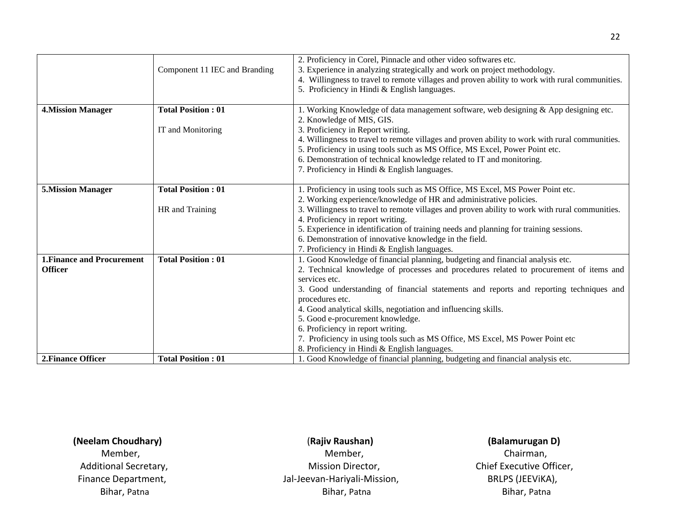|                                   |                               | 2. Proficiency in Corel, Pinnacle and other video softwares etc.                               |
|-----------------------------------|-------------------------------|------------------------------------------------------------------------------------------------|
|                                   | Component 11 IEC and Branding | 3. Experience in analyzing strategically and work on project methodology.                      |
|                                   |                               | 4. Willingness to travel to remote villages and proven ability to work with rural communities. |
|                                   |                               | 5. Proficiency in Hindi & English languages.                                                   |
|                                   |                               |                                                                                                |
| <b>4. Mission Manager</b>         | <b>Total Position: 01</b>     | 1. Working Knowledge of data management software, web designing $\&$ App designing etc.        |
|                                   |                               | 2. Knowledge of MIS, GIS.                                                                      |
|                                   | IT and Monitoring             | 3. Proficiency in Report writing.                                                              |
|                                   |                               | 4. Willingness to travel to remote villages and proven ability to work with rural communities. |
|                                   |                               | 5. Proficiency in using tools such as MS Office, MS Excel, Power Point etc.                    |
|                                   |                               | 6. Demonstration of technical knowledge related to IT and monitoring.                          |
|                                   |                               | 7. Proficiency in Hindi & English languages.                                                   |
|                                   |                               |                                                                                                |
| <b>5.Mission Manager</b>          | <b>Total Position: 01</b>     | 1. Proficiency in using tools such as MS Office, MS Excel, MS Power Point etc.                 |
|                                   |                               | 2. Working experience/knowledge of HR and administrative policies.                             |
|                                   | HR and Training               | 3. Willingness to travel to remote villages and proven ability to work with rural communities. |
|                                   |                               | 4. Proficiency in report writing.                                                              |
|                                   |                               | 5. Experience in identification of training needs and planning for training sessions.          |
|                                   |                               | 6. Demonstration of innovative knowledge in the field.                                         |
|                                   |                               | 7. Proficiency in Hindi & English languages.                                                   |
| <b>1. Finance and Procurement</b> | <b>Total Position: 01</b>     | 1. Good Knowledge of financial planning, budgeting and financial analysis etc.                 |
| <b>Officer</b>                    |                               | 2. Technical knowledge of processes and procedures related to procurement of items and         |
|                                   |                               | services etc.                                                                                  |
|                                   |                               | 3. Good understanding of financial statements and reports and reporting techniques and         |
|                                   |                               | procedures etc.                                                                                |
|                                   |                               | 4. Good analytical skills, negotiation and influencing skills.                                 |
|                                   |                               | 5. Good e-procurement knowledge.                                                               |
|                                   |                               | 6. Proficiency in report writing.                                                              |
|                                   |                               | 7. Proficiency in using tools such as MS Office, MS Excel, MS Power Point etc                  |
|                                   |                               | 8. Proficiency in Hindi & English languages.                                                   |
| 2. Finance Officer                | <b>Total Position: 01</b>     | 1. Good Knowledge of financial planning, budgeting and financial analysis etc.                 |
|                                   |                               |                                                                                                |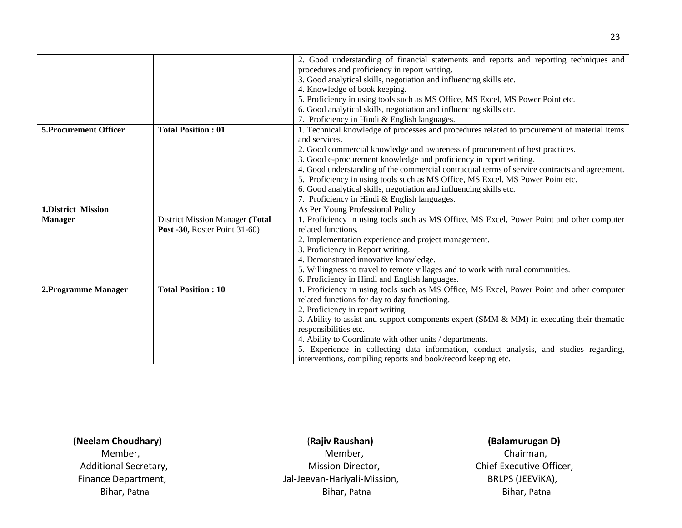|                               |                                        | 2. Good understanding of financial statements and reports and reporting techniques and        |
|-------------------------------|----------------------------------------|-----------------------------------------------------------------------------------------------|
|                               |                                        | procedures and proficiency in report writing.                                                 |
|                               |                                        | 3. Good analytical skills, negotiation and influencing skills etc.                            |
|                               |                                        | 4. Knowledge of book keeping.                                                                 |
|                               |                                        | 5. Proficiency in using tools such as MS Office, MS Excel, MS Power Point etc.                |
|                               |                                        | 6. Good analytical skills, negotiation and influencing skills etc.                            |
|                               |                                        | 7. Proficiency in Hindi & English languages.                                                  |
| <b>5. Procurement Officer</b> | <b>Total Position: 01</b>              | 1. Technical knowledge of processes and procedures related to procurement of material items   |
|                               |                                        | and services.                                                                                 |
|                               |                                        | 2. Good commercial knowledge and awareness of procurement of best practices.                  |
|                               |                                        | 3. Good e-procurement knowledge and proficiency in report writing.                            |
|                               |                                        | 4. Good understanding of the commercial contractual terms of service contracts and agreement. |
|                               |                                        | 5. Proficiency in using tools such as MS Office, MS Excel, MS Power Point etc.                |
|                               |                                        | 6. Good analytical skills, negotiation and influencing skills etc.                            |
|                               |                                        | 7. Proficiency in Hindi & English languages.                                                  |
| 1. District Mission           |                                        | As Per Young Professional Policy                                                              |
| <b>Manager</b>                | <b>District Mission Manager (Total</b> | 1. Proficiency in using tools such as MS Office, MS Excel, Power Point and other computer     |
|                               | <b>Post -30, Roster Point 31-60)</b>   | related functions.                                                                            |
|                               |                                        | 2. Implementation experience and project management.                                          |
|                               |                                        | 3. Proficiency in Report writing.                                                             |
|                               |                                        | 4. Demonstrated innovative knowledge.                                                         |
|                               |                                        | 5. Willingness to travel to remote villages and to work with rural communities.               |
|                               |                                        | 6. Proficiency in Hindi and English languages.                                                |
| 2. Programme Manager          | <b>Total Position: 10</b>              | 1. Proficiency in using tools such as MS Office, MS Excel, Power Point and other computer     |
|                               |                                        | related functions for day to day functioning.                                                 |
|                               |                                        | 2. Proficiency in report writing.                                                             |
|                               |                                        | 3. Ability to assist and support components expert (SMM & MM) in executing their thematic     |
|                               |                                        | responsibilities etc.                                                                         |
|                               |                                        | 4. Ability to Coordinate with other units / departments.                                      |
|                               |                                        | 5. Experience in collecting data information, conduct analysis, and studies regarding,        |
|                               |                                        | interventions, compiling reports and book/record keeping etc.                                 |